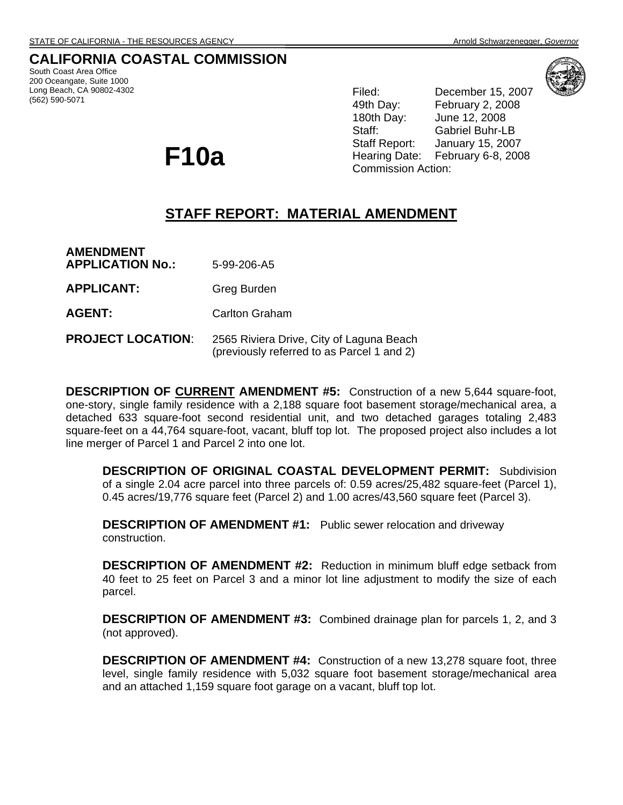# **CALIFORNIA COASTAL COMMISSION**

South Coast Area Office 200 Oceangate, Suite 1000 Long Beach, CA 90802-4302 (562) 590-5071

Filed: December 15, 2007 49th Day: February 2, 2008 180th Day: June 12, 2008 Staff: Gabriel Buhr-LB Staff Report: January 15, 2007 F10a **F10a F10a F10a F10a F10a February 6-8, 2008 Commission Action:** 

# **STAFF REPORT: MATERIAL AMENDMENT**

**AMENDMENT APPLICATION No.:** 5-99-206-A5 **APPLICANT:** Greg Burden AGENT: Carlton Graham

#### **PROJECT LOCATION:** 2565 Riviera Drive, City of Laguna Beach (previously referred to as Parcel 1 and 2)

**DESCRIPTION OF CURRENT AMENDMENT #5:** Construction of a new 5,644 square-foot, one-story, single family residence with a 2,188 square foot basement storage/mechanical area, a detached 633 square-foot second residential unit, and two detached garages totaling 2,483 square-feet on a 44,764 square-foot, vacant, bluff top lot. The proposed project also includes a lot line merger of Parcel 1 and Parcel 2 into one lot.

**DESCRIPTION OF ORIGINAL COASTAL DEVELOPMENT PERMIT:** Subdivision of a single 2.04 acre parcel into three parcels of: 0.59 acres/25,482 square-feet (Parcel 1), 0.45 acres/19,776 square feet (Parcel 2) and 1.00 acres/43,560 square feet (Parcel 3).

**DESCRIPTION OF AMENDMENT #1:** Public sewer relocation and driveway construction.

**DESCRIPTION OF AMENDMENT #2:** Reduction in minimum bluff edge setback from 40 feet to 25 feet on Parcel 3 and a minor lot line adjustment to modify the size of each parcel.

**DESCRIPTION OF AMENDMENT #3:** Combined drainage plan for parcels 1, 2, and 3 (not approved).

**DESCRIPTION OF AMENDMENT #4:** Construction of a new 13,278 square foot, three level, single family residence with 5,032 square foot basement storage/mechanical area and an attached 1,159 square foot garage on a vacant, bluff top lot.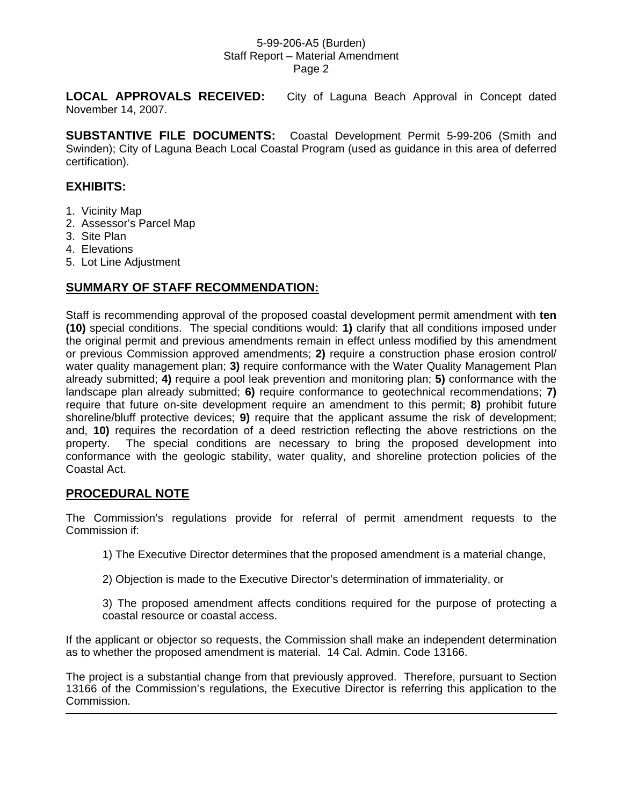**LOCAL APPROVALS RECEIVED:** City of Laguna Beach Approval in Concept dated November 14, 2007.

**SUBSTANTIVE FILE DOCUMENTS:** Coastal Development Permit 5-99-206 (Smith and Swinden); City of Laguna Beach Local Coastal Program (used as guidance in this area of deferred certification).

# **EXHIBITS:**

- 1. Vicinity Map
- 2. Assessor's Parcel Map
- 3. Site Plan
- 4. Elevations
- 5. Lot Line Adjustment

# **SUMMARY OF STAFF RECOMMENDATION:**

Staff is recommending approval of the proposed coastal development permit amendment with **ten (10)** special conditions. The special conditions would: **1)** clarify that all conditions imposed under the original permit and previous amendments remain in effect unless modified by this amendment or previous Commission approved amendments; **2)** require a construction phase erosion control/ water quality management plan; **3)** require conformance with the Water Quality Management Plan already submitted; **4)** require a pool leak prevention and monitoring plan; **5)** conformance with the landscape plan already submitted; **6)** require conformance to geotechnical recommendations; **7)** require that future on-site development require an amendment to this permit; **8)** prohibit future shoreline/bluff protective devices; **9)** require that the applicant assume the risk of development; and, **10)** requires the recordation of a deed restriction reflecting the above restrictions on the property. The special conditions are necessary to bring the proposed development into conformance with the geologic stability, water quality, and shoreline protection policies of the Coastal Act.

# **PROCEDURAL NOTE**

The Commission's regulations provide for referral of permit amendment requests to the Commission if:

- 1) The Executive Director determines that the proposed amendment is a material change,
- 2) Objection is made to the Executive Director's determination of immateriality, or
- 3) The proposed amendment affects conditions required for the purpose of protecting a coastal resource or coastal access.

If the applicant or objector so requests, the Commission shall make an independent determination as to whether the proposed amendment is material. 14 Cal. Admin. Code 13166.

The project is a substantial change from that previously approved. Therefore, pursuant to Section 13166 of the Commission's regulations, the Executive Director is referring this application to the Commission.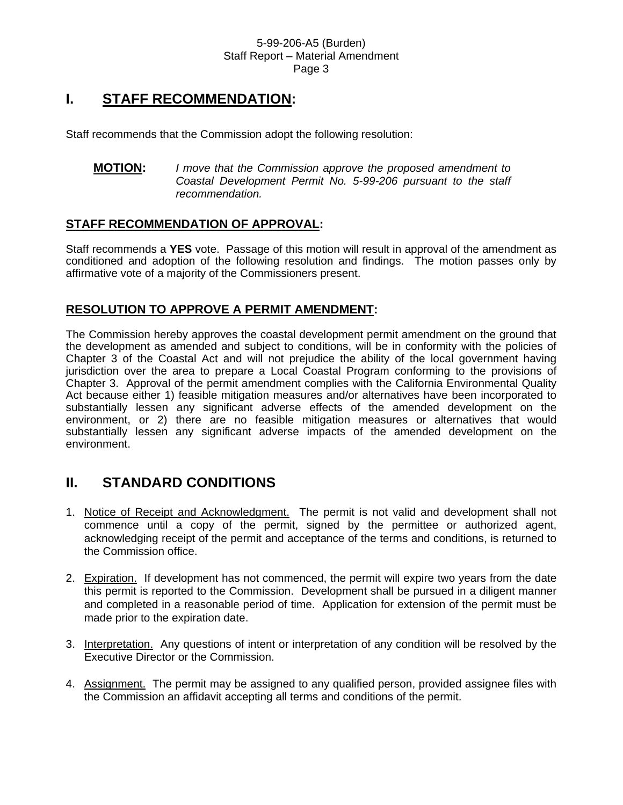# **I. STAFF RECOMMENDATION:**

Staff recommends that the Commission adopt the following resolution:

**MOTION:** *I move that the Commission approve the proposed amendment to Coastal Development Permit No. 5-99-206 pursuant to the staff recommendation.* 

# **STAFF RECOMMENDATION OF APPROVAL:**

Staff recommends a **YES** vote. Passage of this motion will result in approval of the amendment as conditioned and adoption of the following resolution and findings. The motion passes only by affirmative vote of a majority of the Commissioners present.

# **RESOLUTION TO APPROVE A PERMIT AMENDMENT:**

The Commission hereby approves the coastal development permit amendment on the ground that the development as amended and subject to conditions, will be in conformity with the policies of Chapter 3 of the Coastal Act and will not prejudice the ability of the local government having jurisdiction over the area to prepare a Local Coastal Program conforming to the provisions of Chapter 3. Approval of the permit amendment complies with the California Environmental Quality Act because either 1) feasible mitigation measures and/or alternatives have been incorporated to substantially lessen any significant adverse effects of the amended development on the environment, or 2) there are no feasible mitigation measures or alternatives that would substantially lessen any significant adverse impacts of the amended development on the environment.

# **II. STANDARD CONDITIONS**

- 1. Notice of Receipt and Acknowledgment. The permit is not valid and development shall not commence until a copy of the permit, signed by the permittee or authorized agent, acknowledging receipt of the permit and acceptance of the terms and conditions, is returned to the Commission office.
- 2. Expiration. If development has not commenced, the permit will expire two years from the date this permit is reported to the Commission. Development shall be pursued in a diligent manner and completed in a reasonable period of time. Application for extension of the permit must be made prior to the expiration date.
- 3. Interpretation. Any questions of intent or interpretation of any condition will be resolved by the Executive Director or the Commission.
- 4. Assignment. The permit may be assigned to any qualified person, provided assignee files with the Commission an affidavit accepting all terms and conditions of the permit.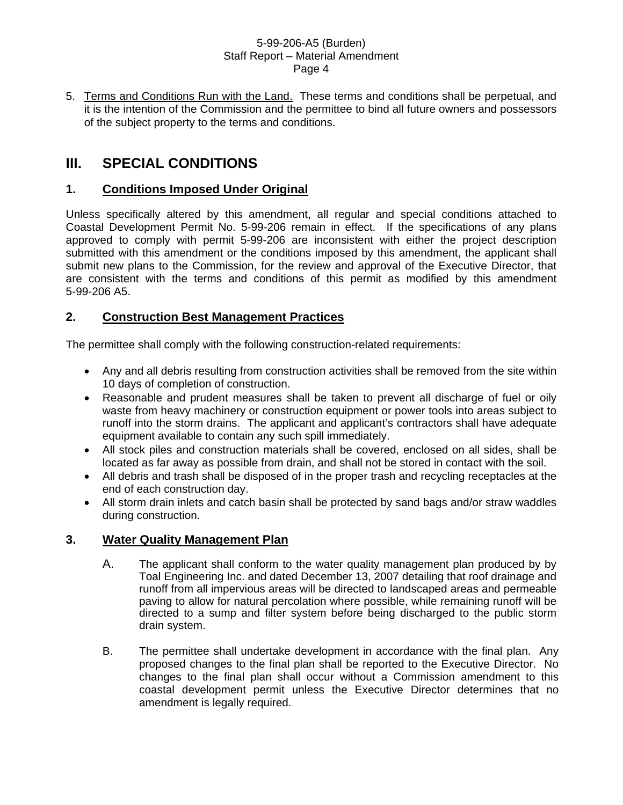5. Terms and Conditions Run with the Land. These terms and conditions shall be perpetual, and it is the intention of the Commission and the permittee to bind all future owners and possessors of the subject property to the terms and conditions.

# **III. SPECIAL CONDITIONS**

# **1. Conditions Imposed Under Original**

Unless specifically altered by this amendment, all regular and special conditions attached to Coastal Development Permit No. 5-99-206 remain in effect. If the specifications of any plans approved to comply with permit 5-99-206 are inconsistent with either the project description submitted with this amendment or the conditions imposed by this amendment, the applicant shall submit new plans to the Commission, for the review and approval of the Executive Director, that are consistent with the terms and conditions of this permit as modified by this amendment 5-99-206 A5.

# **2. Construction Best Management Practices**

The permittee shall comply with the following construction-related requirements:

- Any and all debris resulting from construction activities shall be removed from the site within 10 days of completion of construction.
- Reasonable and prudent measures shall be taken to prevent all discharge of fuel or oily waste from heavy machinery or construction equipment or power tools into areas subject to runoff into the storm drains. The applicant and applicant's contractors shall have adequate equipment available to contain any such spill immediately.
- All stock piles and construction materials shall be covered, enclosed on all sides, shall be located as far away as possible from drain, and shall not be stored in contact with the soil.
- All debris and trash shall be disposed of in the proper trash and recycling receptacles at the end of each construction day.
- All storm drain inlets and catch basin shall be protected by sand bags and/or straw waddles during construction.

# **3. Water Quality Management Plan**

- A. The applicant shall conform to the water quality management plan produced by by Toal Engineering Inc. and dated December 13, 2007 detailing that roof drainage and runoff from all impervious areas will be directed to landscaped areas and permeable paving to allow for natural percolation where possible, while remaining runoff will be directed to a sump and filter system before being discharged to the public storm drain system.
- B. The permittee shall undertake development in accordance with the final plan. Any proposed changes to the final plan shall be reported to the Executive Director. No changes to the final plan shall occur without a Commission amendment to this coastal development permit unless the Executive Director determines that no amendment is legally required.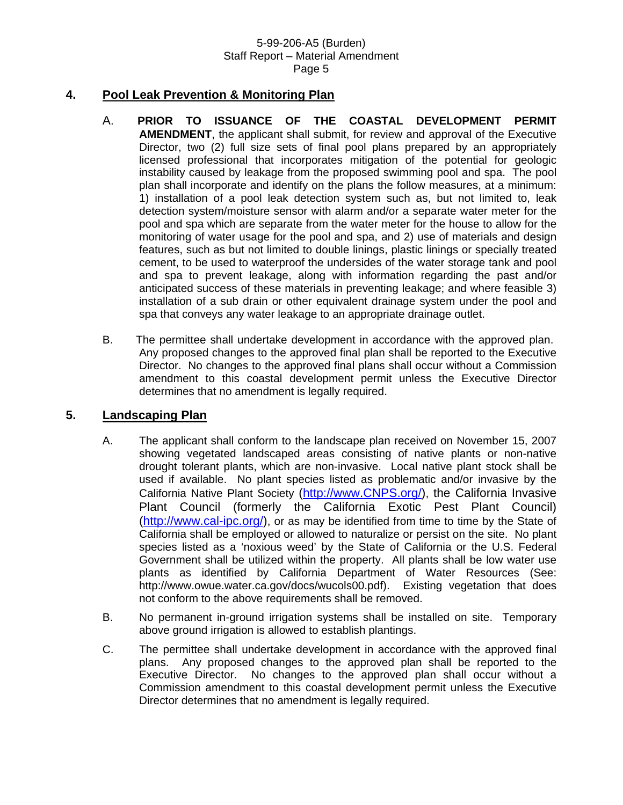# **4. Pool Leak Prevention & Monitoring Plan**

- A. **PRIOR TO ISSUANCE OF THE COASTAL DEVELOPMENT PERMIT AMENDMENT**, the applicant shall submit, for review and approval of the Executive Director, two (2) full size sets of final pool plans prepared by an appropriately licensed professional that incorporates mitigation of the potential for geologic instability caused by leakage from the proposed swimming pool and spa. The pool plan shall incorporate and identify on the plans the follow measures, at a minimum: 1) installation of a pool leak detection system such as, but not limited to, leak detection system/moisture sensor with alarm and/or a separate water meter for the pool and spa which are separate from the water meter for the house to allow for the monitoring of water usage for the pool and spa, and 2) use of materials and design features, such as but not limited to double linings, plastic linings or specially treated cement, to be used to waterproof the undersides of the water storage tank and pool and spa to prevent leakage, along with information regarding the past and/or anticipated success of these materials in preventing leakage; and where feasible 3) installation of a sub drain or other equivalent drainage system under the pool and spa that conveys any water leakage to an appropriate drainage outlet.
- B.The permittee shall undertake development in accordance with the approved plan. Any proposed changes to the approved final plan shall be reported to the Executive Director. No changes to the approved final plans shall occur without a Commission amendment to this coastal development permit unless the Executive Director determines that no amendment is legally required.

# **5. Landscaping Plan**

- A. The applicant shall conform to the landscape plan received on November 15, 2007 showing vegetated landscaped areas consisting of native plants or non-native drought tolerant plants, which are non-invasive. Local native plant stock shall be used if available. No plant species listed as problematic and/or invasive by the California Native Plant Society ([http://www.CNPS.org/](http://www.cnps.org/)), the California Invasive Plant Council (formerly the California Exotic Pest Plant Council) ([http://www.cal-ipc.org/\)](http://www.cal-ipc.org/), or as may be identified from time to time by the State of California shall be employed or allowed to naturalize or persist on the site. No plant species listed as a 'noxious weed' by the State of California or the U.S. Federal Government shall be utilized within the property. All plants shall be low water use plants as identified by California Department of Water Resources (See: http://www.owue.water.ca.gov/docs/wucols00.pdf). Existing vegetation that does not conform to the above requirements shall be removed.
- B. No permanent in-ground irrigation systems shall be installed on site. Temporary above ground irrigation is allowed to establish plantings.
- C. The permittee shall undertake development in accordance with the approved final plans. Any proposed changes to the approved plan shall be reported to the Executive Director. No changes to the approved plan shall occur without a Commission amendment to this coastal development permit unless the Executive Director determines that no amendment is legally required.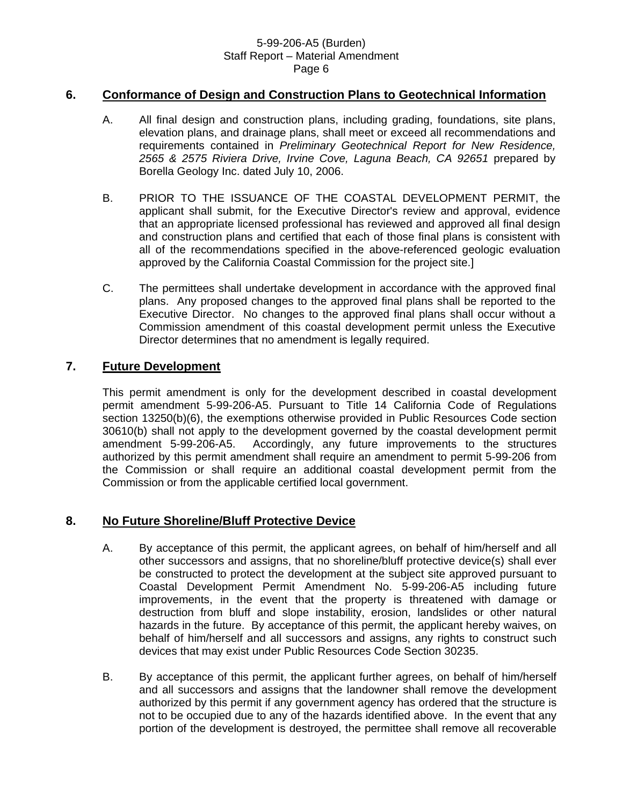## **6. Conformance of Design and Construction Plans to Geotechnical Information**

- A. All final design and construction plans, including grading, foundations, site plans, elevation plans, and drainage plans, shall meet or exceed all recommendations and requirements contained in *Preliminary Geotechnical Report for New Residence, 2565 & 2575 Riviera Drive, Irvine Cove, Laguna Beach, CA 92651* prepared by Borella Geology Inc. dated July 10, 2006.
- B. PRIOR TO THE ISSUANCE OF THE COASTAL DEVELOPMENT PERMIT, the applicant shall submit, for the Executive Director's review and approval, evidence that an appropriate licensed professional has reviewed and approved all final design and construction plans and certified that each of those final plans is consistent with all of the recommendations specified in the above-referenced geologic evaluation approved by the California Coastal Commission for the project site.]
- C. The permittees shall undertake development in accordance with the approved final plans. Any proposed changes to the approved final plans shall be reported to the Executive Director. No changes to the approved final plans shall occur without a Commission amendment of this coastal development permit unless the Executive Director determines that no amendment is legally required.

# **7. Future Development**

This permit amendment is only for the development described in coastal development permit amendment 5-99-206-A5. Pursuant to Title 14 California Code of Regulations section 13250(b)(6), the exemptions otherwise provided in Public Resources Code section 30610(b) shall not apply to the development governed by the coastal development permit amendment 5-99-206-A5. Accordingly, any future improvements to the structures authorized by this permit amendment shall require an amendment to permit 5-99-206 from the Commission or shall require an additional coastal development permit from the Commission or from the applicable certified local government.

### **8. No Future Shoreline/Bluff Protective Device**

- A. By acceptance of this permit, the applicant agrees, on behalf of him/herself and all other successors and assigns, that no shoreline/bluff protective device(s) shall ever be constructed to protect the development at the subject site approved pursuant to Coastal Development Permit Amendment No. 5-99-206-A5 including future improvements, in the event that the property is threatened with damage or destruction from bluff and slope instability, erosion, landslides or other natural hazards in the future. By acceptance of this permit, the applicant hereby waives, on behalf of him/herself and all successors and assigns, any rights to construct such devices that may exist under Public Resources Code Section 30235.
- B. By acceptance of this permit, the applicant further agrees, on behalf of him/herself and all successors and assigns that the landowner shall remove the development authorized by this permit if any government agency has ordered that the structure is not to be occupied due to any of the hazards identified above. In the event that any portion of the development is destroyed, the permittee shall remove all recoverable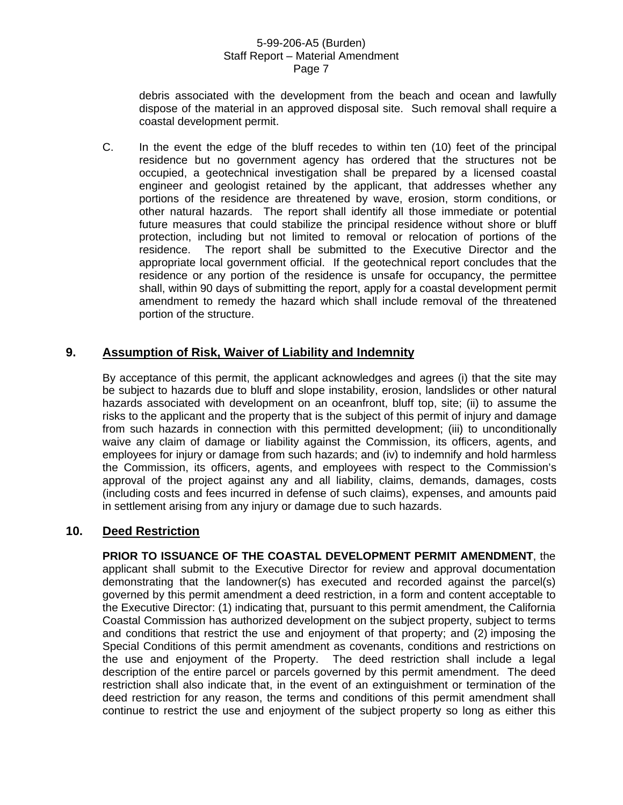debris associated with the development from the beach and ocean and lawfully dispose of the material in an approved disposal site. Such removal shall require a coastal development permit.

C. In the event the edge of the bluff recedes to within ten (10) feet of the principal residence but no government agency has ordered that the structures not be occupied, a geotechnical investigation shall be prepared by a licensed coastal engineer and geologist retained by the applicant, that addresses whether any portions of the residence are threatened by wave, erosion, storm conditions, or other natural hazards. The report shall identify all those immediate or potential future measures that could stabilize the principal residence without shore or bluff protection, including but not limited to removal or relocation of portions of the residence. The report shall be submitted to the Executive Director and the appropriate local government official. If the geotechnical report concludes that the residence or any portion of the residence is unsafe for occupancy, the permittee shall, within 90 days of submitting the report, apply for a coastal development permit amendment to remedy the hazard which shall include removal of the threatened portion of the structure.

# **9. Assumption of Risk, Waiver of Liability and Indemnity**

By acceptance of this permit, the applicant acknowledges and agrees (i) that the site may be subject to hazards due to bluff and slope instability, erosion, landslides or other natural hazards associated with development on an oceanfront, bluff top, site; (ii) to assume the risks to the applicant and the property that is the subject of this permit of injury and damage from such hazards in connection with this permitted development; (iii) to unconditionally waive any claim of damage or liability against the Commission, its officers, agents, and employees for injury or damage from such hazards; and (iv) to indemnify and hold harmless the Commission, its officers, agents, and employees with respect to the Commission's approval of the project against any and all liability, claims, demands, damages, costs (including costs and fees incurred in defense of such claims), expenses, and amounts paid in settlement arising from any injury or damage due to such hazards.

# **10. Deed Restriction**

**PRIOR TO ISSUANCE OF THE COASTAL DEVELOPMENT PERMIT AMENDMENT**, the applicant shall submit to the Executive Director for review and approval documentation demonstrating that the landowner(s) has executed and recorded against the parcel(s) governed by this permit amendment a deed restriction, in a form and content acceptable to the Executive Director: (1) indicating that, pursuant to this permit amendment, the California Coastal Commission has authorized development on the subject property, subject to terms and conditions that restrict the use and enjoyment of that property; and (2) imposing the Special Conditions of this permit amendment as covenants, conditions and restrictions on the use and enjoyment of the Property. The deed restriction shall include a legal description of the entire parcel or parcels governed by this permit amendment. The deed restriction shall also indicate that, in the event of an extinguishment or termination of the deed restriction for any reason, the terms and conditions of this permit amendment shall continue to restrict the use and enjoyment of the subject property so long as either this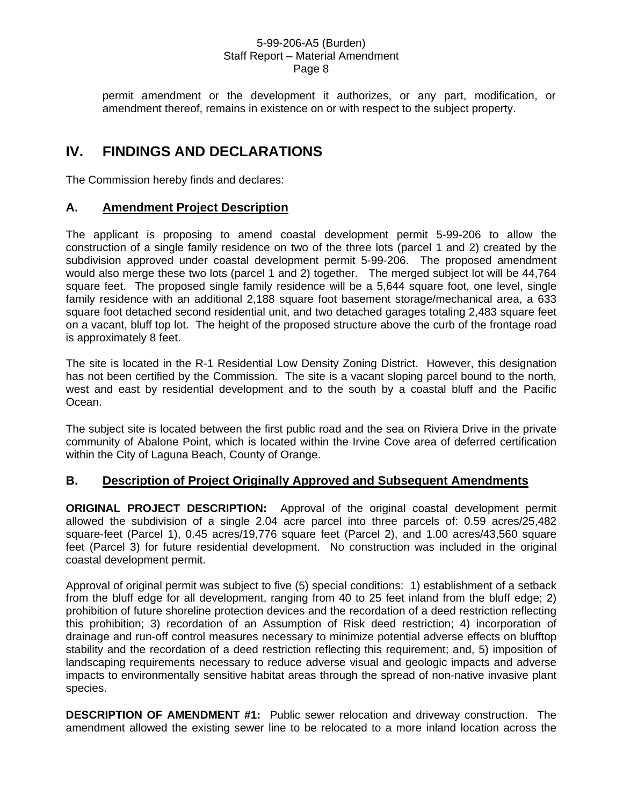permit amendment or the development it authorizes, or any part, modification, or amendment thereof, remains in existence on or with respect to the subject property.

# **IV. FINDINGS AND DECLARATIONS**

The Commission hereby finds and declares:

# **A. Amendment Project Description**

The applicant is proposing to amend coastal development permit 5-99-206 to allow the construction of a single family residence on two of the three lots (parcel 1 and 2) created by the subdivision approved under coastal development permit 5-99-206. The proposed amendment would also merge these two lots (parcel 1 and 2) together. The merged subject lot will be 44,764 square feet. The proposed single family residence will be a 5,644 square foot, one level, single family residence with an additional 2,188 square foot basement storage/mechanical area, a 633 square foot detached second residential unit, and two detached garages totaling 2,483 square feet on a vacant, bluff top lot. The height of the proposed structure above the curb of the frontage road is approximately 8 feet.

The site is located in the R-1 Residential Low Density Zoning District. However, this designation has not been certified by the Commission. The site is a vacant sloping parcel bound to the north, west and east by residential development and to the south by a coastal bluff and the Pacific Ocean.

The subject site is located between the first public road and the sea on Riviera Drive in the private community of Abalone Point, which is located within the Irvine Cove area of deferred certification within the City of Laguna Beach, County of Orange.

# **B. Description of Project Originally Approved and Subsequent Amendments**

**ORIGINAL PROJECT DESCRIPTION:** Approval of the original coastal development permit allowed the subdivision of a single 2.04 acre parcel into three parcels of: 0.59 acres/25,482 square-feet (Parcel 1), 0.45 acres/19,776 square feet (Parcel 2), and 1.00 acres/43,560 square feet (Parcel 3) for future residential development. No construction was included in the original coastal development permit.

Approval of original permit was subject to five (5) special conditions: 1) establishment of a setback from the bluff edge for all development, ranging from 40 to 25 feet inland from the bluff edge; 2) prohibition of future shoreline protection devices and the recordation of a deed restriction reflecting this prohibition; 3) recordation of an Assumption of Risk deed restriction; 4) incorporation of drainage and run-off control measures necessary to minimize potential adverse effects on blufftop stability and the recordation of a deed restriction reflecting this requirement; and, 5) imposition of landscaping requirements necessary to reduce adverse visual and geologic impacts and adverse impacts to environmentally sensitive habitat areas through the spread of non-native invasive plant species.

**DESCRIPTION OF AMENDMENT #1:** Public sewer relocation and driveway construction. The amendment allowed the existing sewer line to be relocated to a more inland location across the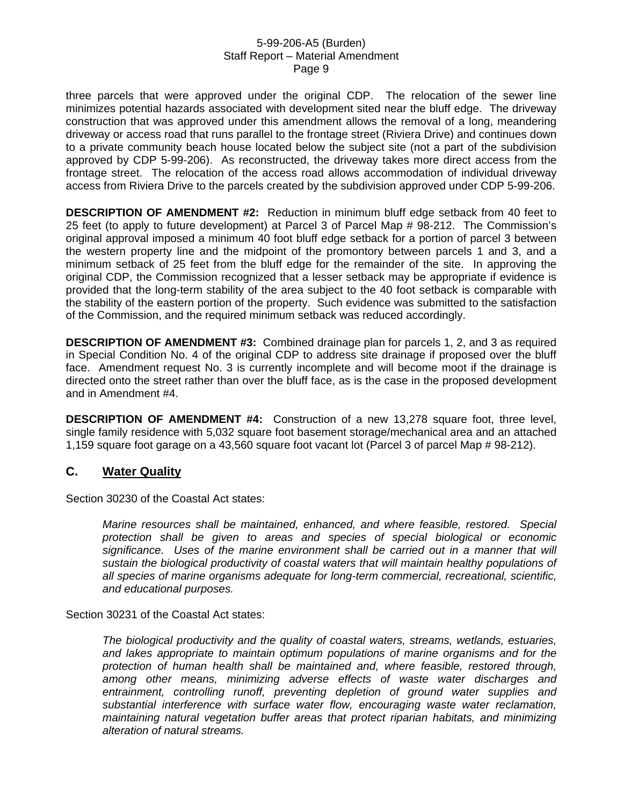three parcels that were approved under the original CDP. The relocation of the sewer line minimizes potential hazards associated with development sited near the bluff edge. The driveway construction that was approved under this amendment allows the removal of a long, meandering driveway or access road that runs parallel to the frontage street (Riviera Drive) and continues down to a private community beach house located below the subject site (not a part of the subdivision approved by CDP 5-99-206). As reconstructed, the driveway takes more direct access from the frontage street. The relocation of the access road allows accommodation of individual driveway access from Riviera Drive to the parcels created by the subdivision approved under CDP 5-99-206.

**DESCRIPTION OF AMENDMENT #2:** Reduction in minimum bluff edge setback from 40 feet to 25 feet (to apply to future development) at Parcel 3 of Parcel Map # 98-212. The Commission's original approval imposed a minimum 40 foot bluff edge setback for a portion of parcel 3 between the western property line and the midpoint of the promontory between parcels 1 and 3, and a minimum setback of 25 feet from the bluff edge for the remainder of the site. In approving the original CDP, the Commission recognized that a lesser setback may be appropriate if evidence is provided that the long-term stability of the area subject to the 40 foot setback is comparable with the stability of the eastern portion of the property. Such evidence was submitted to the satisfaction of the Commission, and the required minimum setback was reduced accordingly.

**DESCRIPTION OF AMENDMENT #3:** Combined drainage plan for parcels 1, 2, and 3 as required in Special Condition No. 4 of the original CDP to address site drainage if proposed over the bluff face. Amendment request No. 3 is currently incomplete and will become moot if the drainage is directed onto the street rather than over the bluff face, as is the case in the proposed development and in Amendment #4.

**DESCRIPTION OF AMENDMENT #4:** Construction of a new 13,278 square foot, three level, single family residence with 5,032 square foot basement storage/mechanical area and an attached 1,159 square foot garage on a 43,560 square foot vacant lot (Parcel 3 of parcel Map # 98-212).

### **C. Water Quality**

Section 30230 of the Coastal Act states:

*Marine resources shall be maintained, enhanced, and where feasible, restored. Special protection shall be given to areas and species of special biological or economic significance. Uses of the marine environment shall be carried out in a manner that will sustain the biological productivity of coastal waters that will maintain healthy populations of all species of marine organisms adequate for long-term commercial, recreational, scientific, and educational purposes.* 

Section 30231 of the Coastal Act states:

*The biological productivity and the quality of coastal waters, streams, wetlands, estuaries, and lakes appropriate to maintain optimum populations of marine organisms and for the protection of human health shall be maintained and, where feasible, restored through, among other means, minimizing adverse effects of waste water discharges and entrainment, controlling runoff, preventing depletion of ground water supplies and substantial interference with surface water flow, encouraging waste water reclamation, maintaining natural vegetation buffer areas that protect riparian habitats, and minimizing alteration of natural streams.*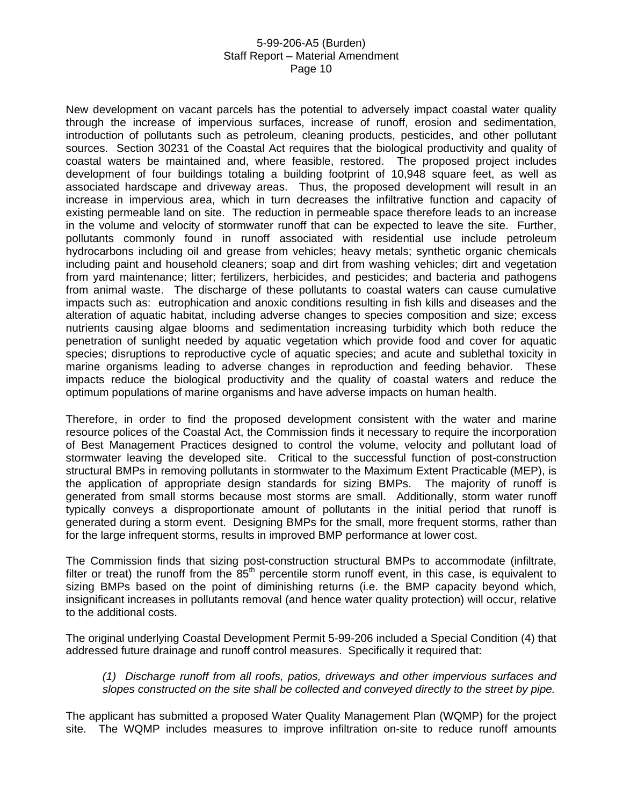New development on vacant parcels has the potential to adversely impact coastal water quality through the increase of impervious surfaces, increase of runoff, erosion and sedimentation, introduction of pollutants such as petroleum, cleaning products, pesticides, and other pollutant sources. Section 30231 of the Coastal Act requires that the biological productivity and quality of coastal waters be maintained and, where feasible, restored. The proposed project includes development of four buildings totaling a building footprint of 10,948 square feet, as well as associated hardscape and driveway areas. Thus, the proposed development will result in an increase in impervious area, which in turn decreases the infiltrative function and capacity of existing permeable land on site. The reduction in permeable space therefore leads to an increase in the volume and velocity of stormwater runoff that can be expected to leave the site. Further, pollutants commonly found in runoff associated with residential use include petroleum hydrocarbons including oil and grease from vehicles; heavy metals; synthetic organic chemicals including paint and household cleaners; soap and dirt from washing vehicles; dirt and vegetation from yard maintenance; litter; fertilizers, herbicides, and pesticides; and bacteria and pathogens from animal waste. The discharge of these pollutants to coastal waters can cause cumulative impacts such as: eutrophication and anoxic conditions resulting in fish kills and diseases and the alteration of aquatic habitat, including adverse changes to species composition and size; excess nutrients causing algae blooms and sedimentation increasing turbidity which both reduce the penetration of sunlight needed by aquatic vegetation which provide food and cover for aquatic species; disruptions to reproductive cycle of aquatic species; and acute and sublethal toxicity in marine organisms leading to adverse changes in reproduction and feeding behavior. These impacts reduce the biological productivity and the quality of coastal waters and reduce the optimum populations of marine organisms and have adverse impacts on human health.

Therefore, in order to find the proposed development consistent with the water and marine resource polices of the Coastal Act, the Commission finds it necessary to require the incorporation of Best Management Practices designed to control the volume, velocity and pollutant load of stormwater leaving the developed site. Critical to the successful function of post-construction structural BMPs in removing pollutants in stormwater to the Maximum Extent Practicable (MEP), is the application of appropriate design standards for sizing BMPs. The majority of runoff is generated from small storms because most storms are small. Additionally, storm water runoff typically conveys a disproportionate amount of pollutants in the initial period that runoff is generated during a storm event. Designing BMPs for the small, more frequent storms, rather than for the large infrequent storms, results in improved BMP performance at lower cost.

The Commission finds that sizing post-construction structural BMPs to accommodate (infiltrate, filter or treat) the runoff from the 85<sup>th</sup> percentile storm runoff event, in this case, is equivalent to sizing BMPs based on the point of diminishing returns (i.e. the BMP capacity beyond which, insignificant increases in pollutants removal (and hence water quality protection) will occur, relative to the additional costs.

The original underlying Coastal Development Permit 5-99-206 included a Special Condition (4) that addressed future drainage and runoff control measures. Specifically it required that:

*(1) Discharge runoff from all roofs, patios, driveways and other impervious surfaces and slopes constructed on the site shall be collected and conveyed directly to the street by pipe.* 

The applicant has submitted a proposed Water Quality Management Plan (WQMP) for the project site. The WQMP includes measures to improve infiltration on-site to reduce runoff amounts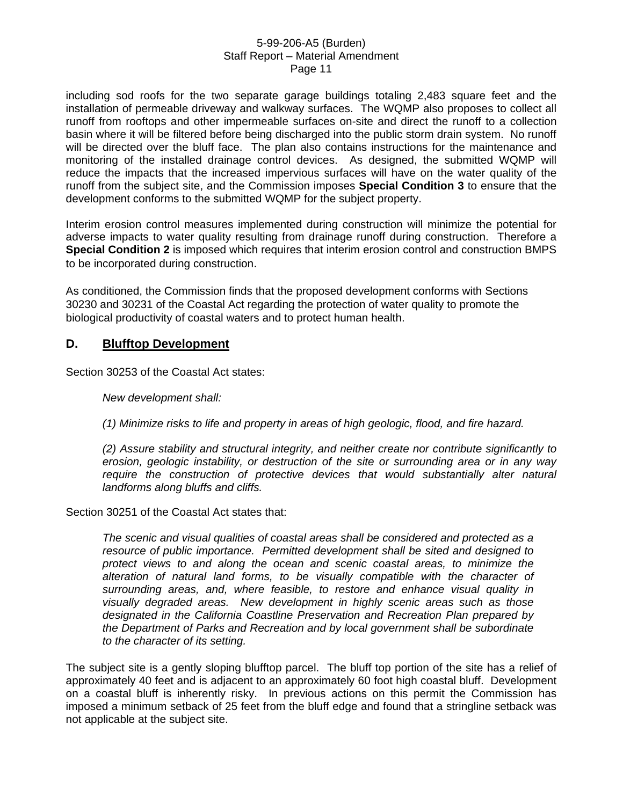including sod roofs for the two separate garage buildings totaling 2,483 square feet and the installation of permeable driveway and walkway surfaces. The WQMP also proposes to collect all runoff from rooftops and other impermeable surfaces on-site and direct the runoff to a collection basin where it will be filtered before being discharged into the public storm drain system. No runoff will be directed over the bluff face. The plan also contains instructions for the maintenance and monitoring of the installed drainage control devices. As designed, the submitted WQMP will reduce the impacts that the increased impervious surfaces will have on the water quality of the runoff from the subject site, and the Commission imposes **Special Condition 3** to ensure that the development conforms to the submitted WQMP for the subject property.

Interim erosion control measures implemented during construction will minimize the potential for adverse impacts to water quality resulting from drainage runoff during construction. Therefore a **Special Condition 2** is imposed which requires that interim erosion control and construction BMPS to be incorporated during construction.

As conditioned, the Commission finds that the proposed development conforms with Sections 30230 and 30231 of the Coastal Act regarding the protection of water quality to promote the biological productivity of coastal waters and to protect human health.

### **D. Blufftop Development**

Section 30253 of the Coastal Act states:

*New development shall:* 

*(1) Minimize risks to life and property in areas of high geologic, flood, and fire hazard.* 

*(2) Assure stability and structural integrity, and neither create nor contribute significantly to erosion, geologic instability, or destruction of the site or surrounding area or in any way require the construction of protective devices that would substantially alter natural landforms along bluffs and cliffs.* 

Section 30251 of the Coastal Act states that:

*The scenic and visual qualities of coastal areas shall be considered and protected as a resource of public importance. Permitted development shall be sited and designed to protect views to and along the ocean and scenic coastal areas, to minimize the alteration of natural land forms, to be visually compatible with the character of surrounding areas, and, where feasible, to restore and enhance visual quality in visually degraded areas. New development in highly scenic areas such as those designated in the California Coastline Preservation and Recreation Plan prepared by the Department of Parks and Recreation and by local government shall be subordinate to the character of its setting.* 

The subject site is a gently sloping blufftop parcel. The bluff top portion of the site has a relief of approximately 40 feet and is adjacent to an approximately 60 foot high coastal bluff. Development on a coastal bluff is inherently risky. In previous actions on this permit the Commission has imposed a minimum setback of 25 feet from the bluff edge and found that a stringline setback was not applicable at the subject site.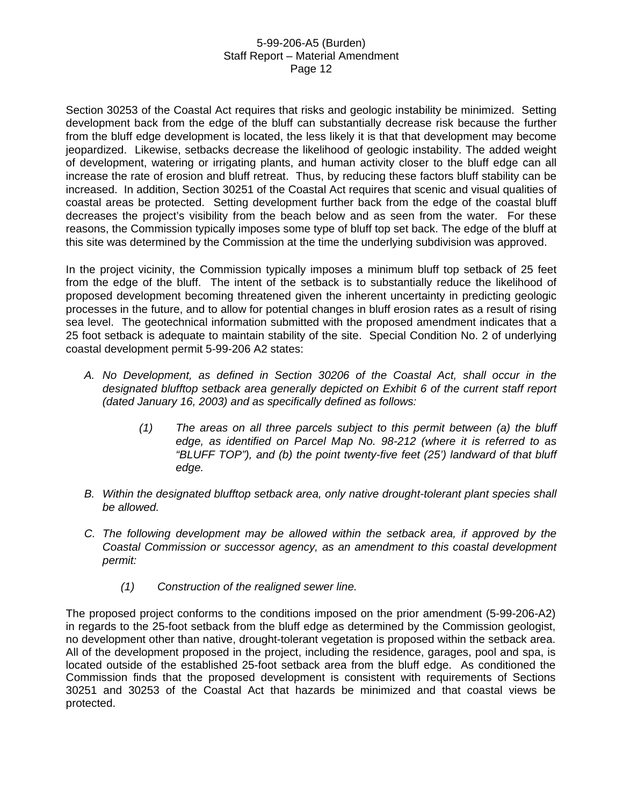Section 30253 of the Coastal Act requires that risks and geologic instability be minimized. Setting development back from the edge of the bluff can substantially decrease risk because the further from the bluff edge development is located, the less likely it is that that development may become jeopardized. Likewise, setbacks decrease the likelihood of geologic instability. The added weight of development, watering or irrigating plants, and human activity closer to the bluff edge can all increase the rate of erosion and bluff retreat. Thus, by reducing these factors bluff stability can be increased. In addition, Section 30251 of the Coastal Act requires that scenic and visual qualities of coastal areas be protected. Setting development further back from the edge of the coastal bluff decreases the project's visibility from the beach below and as seen from the water. For these reasons, the Commission typically imposes some type of bluff top set back. The edge of the bluff at this site was determined by the Commission at the time the underlying subdivision was approved.

In the project vicinity, the Commission typically imposes a minimum bluff top setback of 25 feet from the edge of the bluff. The intent of the setback is to substantially reduce the likelihood of proposed development becoming threatened given the inherent uncertainty in predicting geologic processes in the future, and to allow for potential changes in bluff erosion rates as a result of rising sea level. The geotechnical information submitted with the proposed amendment indicates that a 25 foot setback is adequate to maintain stability of the site. Special Condition No. 2 of underlying coastal development permit 5-99-206 A2 states:

- *A. No Development, as defined in Section 30206 of the Coastal Act, shall occur in the designated blufftop setback area generally depicted on Exhibit 6 of the current staff report (dated January 16, 2003) and as specifically defined as follows:* 
	- *(1) The areas on all three parcels subject to this permit between (a) the bluff edge, as identified on Parcel Map No. 98-212 (where it is referred to as "BLUFF TOP"), and (b) the point twenty-five feet (25') landward of that bluff edge.*
- *B. Within the designated blufftop setback area, only native drought-tolerant plant species shall be allowed.*
- *C. The following development may be allowed within the setback area, if approved by the Coastal Commission or successor agency, as an amendment to this coastal development permit:* 
	- *(1) Construction of the realigned sewer line.*

The proposed project conforms to the conditions imposed on the prior amendment (5-99-206-A2) in regards to the 25-foot setback from the bluff edge as determined by the Commission geologist, no development other than native, drought-tolerant vegetation is proposed within the setback area. All of the development proposed in the project, including the residence, garages, pool and spa, is located outside of the established 25-foot setback area from the bluff edge. As conditioned the Commission finds that the proposed development is consistent with requirements of Sections 30251 and 30253 of the Coastal Act that hazards be minimized and that coastal views be protected.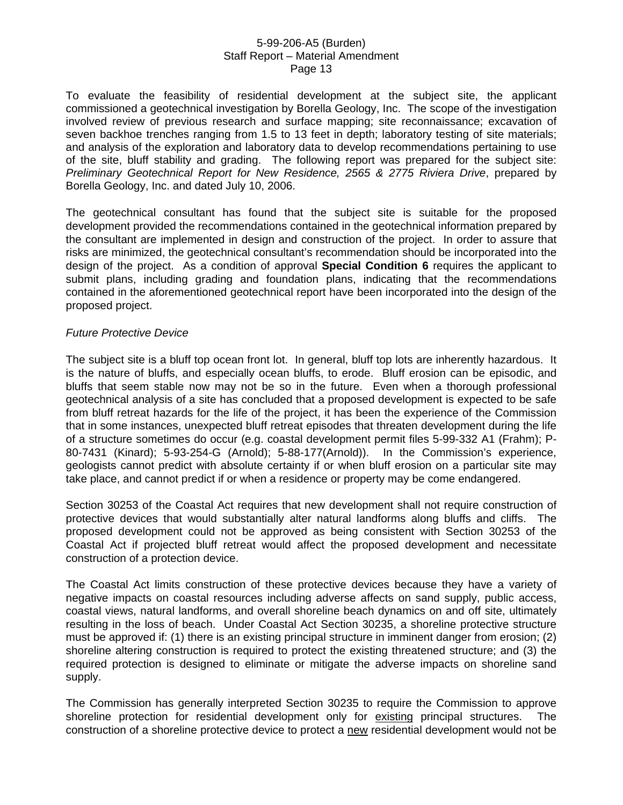To evaluate the feasibility of residential development at the subject site, the applicant commissioned a geotechnical investigation by Borella Geology, Inc. The scope of the investigation involved review of previous research and surface mapping; site reconnaissance; excavation of seven backhoe trenches ranging from 1.5 to 13 feet in depth; laboratory testing of site materials; and analysis of the exploration and laboratory data to develop recommendations pertaining to use of the site, bluff stability and grading. The following report was prepared for the subject site: *Preliminary Geotechnical Report for New Residence, 2565 & 2775 Riviera Drive*, prepared by Borella Geology, Inc. and dated July 10, 2006.

The geotechnical consultant has found that the subject site is suitable for the proposed development provided the recommendations contained in the geotechnical information prepared by the consultant are implemented in design and construction of the project. In order to assure that risks are minimized, the geotechnical consultant's recommendation should be incorporated into the design of the project. As a condition of approval **Special Condition 6** requires the applicant to submit plans, including grading and foundation plans, indicating that the recommendations contained in the aforementioned geotechnical report have been incorporated into the design of the proposed project.

#### *Future Protective Device*

The subject site is a bluff top ocean front lot. In general, bluff top lots are inherently hazardous. It is the nature of bluffs, and especially ocean bluffs, to erode. Bluff erosion can be episodic, and bluffs that seem stable now may not be so in the future. Even when a thorough professional geotechnical analysis of a site has concluded that a proposed development is expected to be safe from bluff retreat hazards for the life of the project, it has been the experience of the Commission that in some instances, unexpected bluff retreat episodes that threaten development during the life of a structure sometimes do occur (e.g. coastal development permit files 5-99-332 A1 (Frahm); P-80-7431 (Kinard); 5-93-254-G (Arnold); 5-88-177(Arnold)). In the Commission's experience, geologists cannot predict with absolute certainty if or when bluff erosion on a particular site may take place, and cannot predict if or when a residence or property may be come endangered.

Section 30253 of the Coastal Act requires that new development shall not require construction of protective devices that would substantially alter natural landforms along bluffs and cliffs. The proposed development could not be approved as being consistent with Section 30253 of the Coastal Act if projected bluff retreat would affect the proposed development and necessitate construction of a protection device.

The Coastal Act limits construction of these protective devices because they have a variety of negative impacts on coastal resources including adverse affects on sand supply, public access, coastal views, natural landforms, and overall shoreline beach dynamics on and off site, ultimately resulting in the loss of beach. Under Coastal Act Section 30235, a shoreline protective structure must be approved if: (1) there is an existing principal structure in imminent danger from erosion; (2) shoreline altering construction is required to protect the existing threatened structure; and (3) the required protection is designed to eliminate or mitigate the adverse impacts on shoreline sand supply.

The Commission has generally interpreted Section 30235 to require the Commission to approve shoreline protection for residential development only for existing principal structures. The construction of a shoreline protective device to protect a new residential development would not be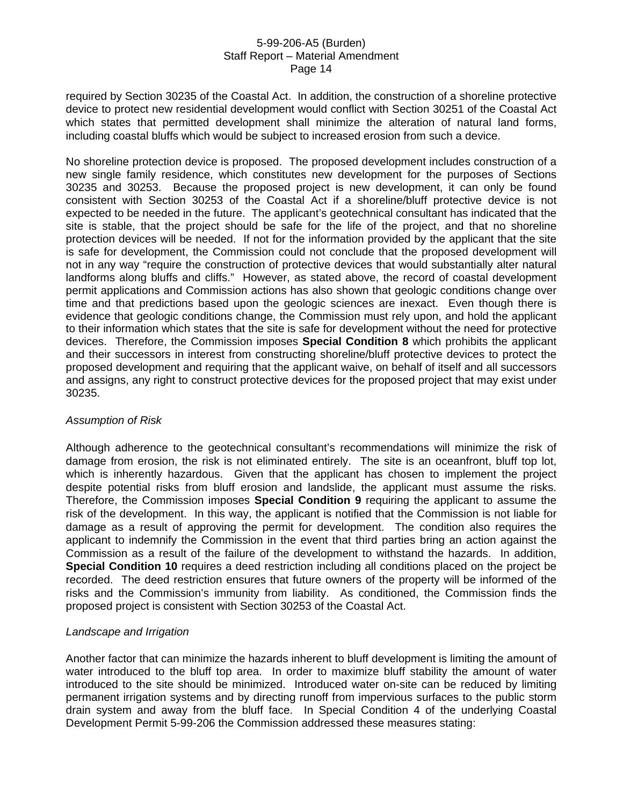required by Section 30235 of the Coastal Act. In addition, the construction of a shoreline protective device to protect new residential development would conflict with Section 30251 of the Coastal Act which states that permitted development shall minimize the alteration of natural land forms, including coastal bluffs which would be subject to increased erosion from such a device.

No shoreline protection device is proposed. The proposed development includes construction of a new single family residence, which constitutes new development for the purposes of Sections 30235 and 30253. Because the proposed project is new development, it can only be found consistent with Section 30253 of the Coastal Act if a shoreline/bluff protective device is not expected to be needed in the future. The applicant's geotechnical consultant has indicated that the site is stable, that the project should be safe for the life of the project, and that no shoreline protection devices will be needed. If not for the information provided by the applicant that the site is safe for development, the Commission could not conclude that the proposed development will not in any way "require the construction of protective devices that would substantially alter natural landforms along bluffs and cliffs." However, as stated above, the record of coastal development permit applications and Commission actions has also shown that geologic conditions change over time and that predictions based upon the geologic sciences are inexact. Even though there is evidence that geologic conditions change, the Commission must rely upon, and hold the applicant to their information which states that the site is safe for development without the need for protective devices. Therefore, the Commission imposes **Special Condition 8** which prohibits the applicant and their successors in interest from constructing shoreline/bluff protective devices to protect the proposed development and requiring that the applicant waive, on behalf of itself and all successors and assigns, any right to construct protective devices for the proposed project that may exist under 30235.

### *Assumption of Risk*

Although adherence to the geotechnical consultant's recommendations will minimize the risk of damage from erosion, the risk is not eliminated entirely. The site is an oceanfront, bluff top lot, which is inherently hazardous. Given that the applicant has chosen to implement the project despite potential risks from bluff erosion and landslide, the applicant must assume the risks. Therefore, the Commission imposes **Special Condition 9** requiring the applicant to assume the risk of the development. In this way, the applicant is notified that the Commission is not liable for damage as a result of approving the permit for development. The condition also requires the applicant to indemnify the Commission in the event that third parties bring an action against the Commission as a result of the failure of the development to withstand the hazards. In addition, **Special Condition 10** requires a deed restriction including all conditions placed on the project be recorded. The deed restriction ensures that future owners of the property will be informed of the risks and the Commission's immunity from liability. As conditioned, the Commission finds the proposed project is consistent with Section 30253 of the Coastal Act.

### *Landscape and Irrigation*

Another factor that can minimize the hazards inherent to bluff development is limiting the amount of water introduced to the bluff top area. In order to maximize bluff stability the amount of water introduced to the site should be minimized. Introduced water on-site can be reduced by limiting permanent irrigation systems and by directing runoff from impervious surfaces to the public storm drain system and away from the bluff face. In Special Condition 4 of the underlying Coastal Development Permit 5-99-206 the Commission addressed these measures stating: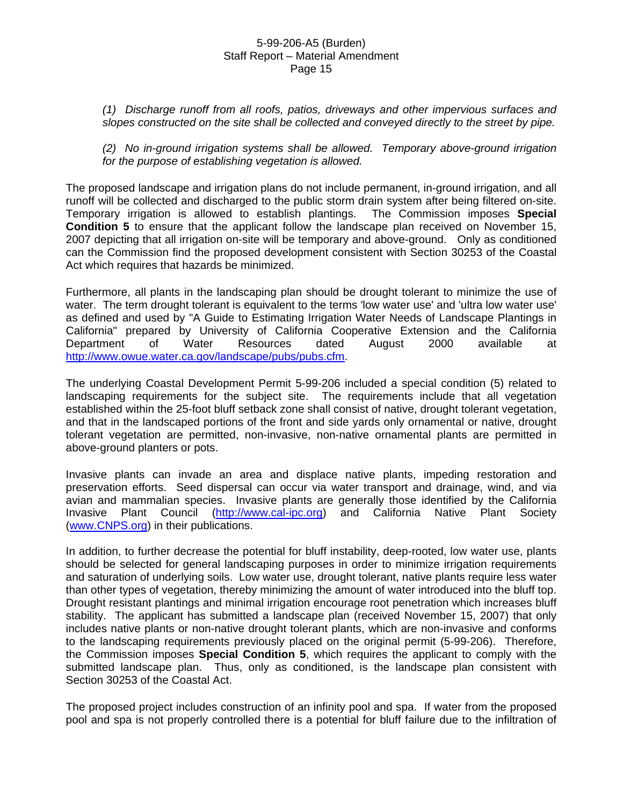*(1) Discharge runoff from all roofs, patios, driveways and other impervious surfaces and slopes constructed on the site shall be collected and conveyed directly to the street by pipe.* 

*(2) No in-ground irrigation systems shall be allowed. Temporary above-ground irrigation for the purpose of establishing vegetation is allowed.* 

The proposed landscape and irrigation plans do not include permanent, in-ground irrigation, and all runoff will be collected and discharged to the public storm drain system after being filtered on-site. Temporary irrigation is allowed to establish plantings. The Commission imposes **Special Condition 5** to ensure that the applicant follow the landscape plan received on November 15, 2007 depicting that all irrigation on-site will be temporary and above-ground. Only as conditioned can the Commission find the proposed development consistent with Section 30253 of the Coastal Act which requires that hazards be minimized.

Furthermore, all plants in the landscaping plan should be drought tolerant to minimize the use of water. The term drought tolerant is equivalent to the terms 'low water use' and 'ultra low water use' as defined and used by "A Guide to Estimating Irrigation Water Needs of Landscape Plantings in California" prepared by University of California Cooperative Extension and the California Department of Water Resources dated August 2000 available at [http://www.owue.water.ca.gov/landscape/pubs/pubs.cfm.](http://www.owue.water.ca.gov/landscape/pubs/pubs.cfm)

The underlying Coastal Development Permit 5-99-206 included a special condition (5) related to landscaping requirements for the subject site. The requirements include that all vegetation established within the 25-foot bluff setback zone shall consist of native, drought tolerant vegetation, and that in the landscaped portions of the front and side yards only ornamental or native, drought tolerant vegetation are permitted, non-invasive, non-native ornamental plants are permitted in above-ground planters or pots.

Invasive plants can invade an area and displace native plants, impeding restoration and preservation efforts. Seed dispersal can occur via water transport and drainage, wind, and via avian and mammalian species. Invasive plants are generally those identified by the California Invasive Plant Council [\(http://www.cal-ipc.org](http://www.cal-ipc.org/)) and California Native Plant Society [\(www.CNPS.org\)](http://www.cnps.org/) in their publications.

In addition, to further decrease the potential for bluff instability, deep-rooted, low water use, plants should be selected for general landscaping purposes in order to minimize irrigation requirements and saturation of underlying soils. Low water use, drought tolerant, native plants require less water than other types of vegetation, thereby minimizing the amount of water introduced into the bluff top. Drought resistant plantings and minimal irrigation encourage root penetration which increases bluff stability. The applicant has submitted a landscape plan (received November 15, 2007) that only includes native plants or non-native drought tolerant plants, which are non-invasive and conforms to the landscaping requirements previously placed on the original permit (5-99-206). Therefore, the Commission imposes **Special Condition 5**, which requires the applicant to comply with the submitted landscape plan. Thus, only as conditioned, is the landscape plan consistent with Section 30253 of the Coastal Act.

The proposed project includes construction of an infinity pool and spa. If water from the proposed pool and spa is not properly controlled there is a potential for bluff failure due to the infiltration of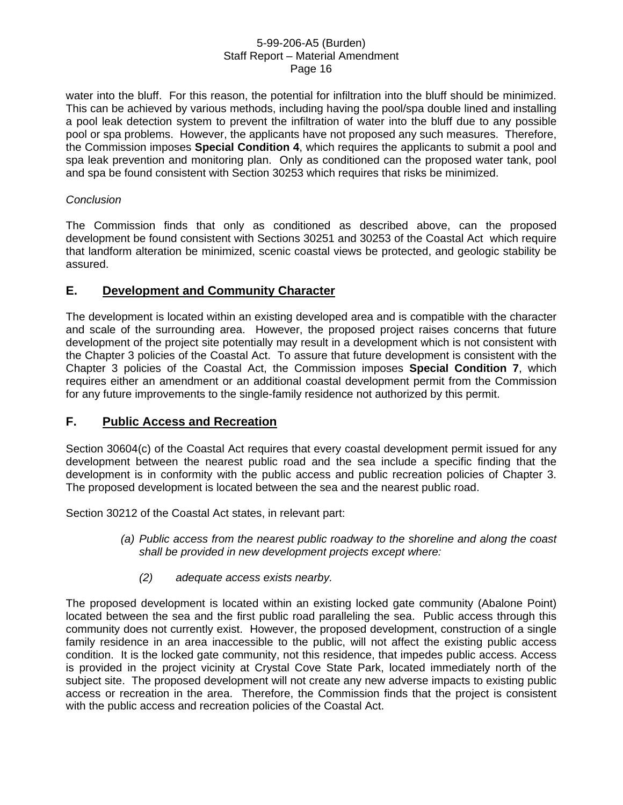water into the bluff. For this reason, the potential for infiltration into the bluff should be minimized. This can be achieved by various methods, including having the pool/spa double lined and installing a pool leak detection system to prevent the infiltration of water into the bluff due to any possible pool or spa problems. However, the applicants have not proposed any such measures. Therefore, the Commission imposes **Special Condition 4**, which requires the applicants to submit a pool and spa leak prevention and monitoring plan. Only as conditioned can the proposed water tank, pool and spa be found consistent with Section 30253 which requires that risks be minimized.

### *Conclusion*

The Commission finds that only as conditioned as described above, can the proposed development be found consistent with Sections 30251 and 30253 of the Coastal Act which require that landform alteration be minimized, scenic coastal views be protected, and geologic stability be assured.

# **E. Development and Community Character**

The development is located within an existing developed area and is compatible with the character and scale of the surrounding area. However, the proposed project raises concerns that future development of the project site potentially may result in a development which is not consistent with the Chapter 3 policies of the Coastal Act. To assure that future development is consistent with the Chapter 3 policies of the Coastal Act, the Commission imposes **Special Condition 7**, which requires either an amendment or an additional coastal development permit from the Commission for any future improvements to the single-family residence not authorized by this permit.

# **F. Public Access and Recreation**

Section 30604(c) of the Coastal Act requires that every coastal development permit issued for any development between the nearest public road and the sea include a specific finding that the development is in conformity with the public access and public recreation policies of Chapter 3. The proposed development is located between the sea and the nearest public road.

Section 30212 of the Coastal Act states, in relevant part:

- *(a) Public access from the nearest public roadway to the shoreline and along the coast shall be provided in new development projects except where:* 
	- *(2) adequate access exists nearby.*

The proposed development is located within an existing locked gate community (Abalone Point) located between the sea and the first public road paralleling the sea. Public access through this community does not currently exist. However, the proposed development, construction of a single family residence in an area inaccessible to the public, will not affect the existing public access condition. It is the locked gate community, not this residence, that impedes public access. Access is provided in the project vicinity at Crystal Cove State Park, located immediately north of the subject site. The proposed development will not create any new adverse impacts to existing public access or recreation in the area. Therefore, the Commission finds that the project is consistent with the public access and recreation policies of the Coastal Act.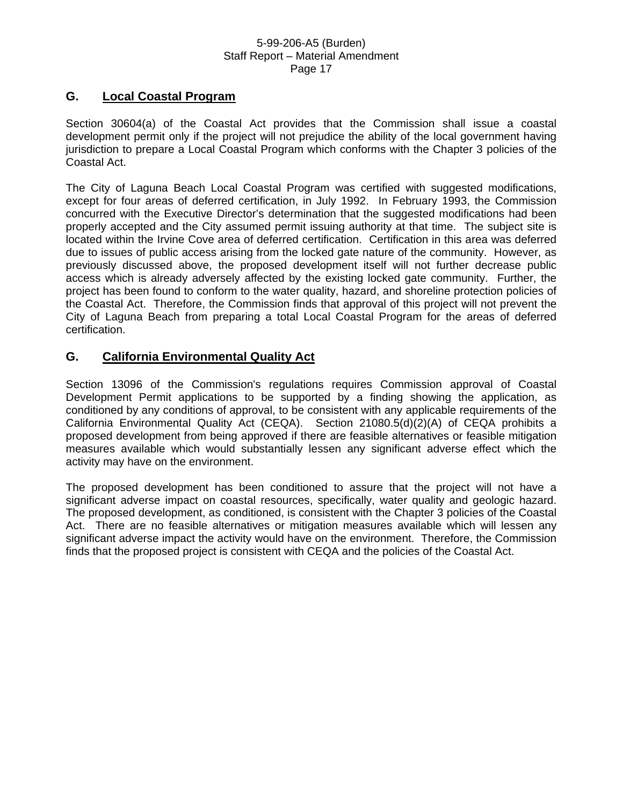# **G. Local Coastal Program**

Section 30604(a) of the Coastal Act provides that the Commission shall issue a coastal development permit only if the project will not prejudice the ability of the local government having jurisdiction to prepare a Local Coastal Program which conforms with the Chapter 3 policies of the Coastal Act.

The City of Laguna Beach Local Coastal Program was certified with suggested modifications, except for four areas of deferred certification, in July 1992. In February 1993, the Commission concurred with the Executive Director's determination that the suggested modifications had been properly accepted and the City assumed permit issuing authority at that time. The subject site is located within the Irvine Cove area of deferred certification. Certification in this area was deferred due to issues of public access arising from the locked gate nature of the community. However, as previously discussed above, the proposed development itself will not further decrease public access which is already adversely affected by the existing locked gate community. Further, the project has been found to conform to the water quality, hazard, and shoreline protection policies of the Coastal Act. Therefore, the Commission finds that approval of this project will not prevent the City of Laguna Beach from preparing a total Local Coastal Program for the areas of deferred certification.

# **G. California Environmental Quality Act**

Section 13096 of the Commission's regulations requires Commission approval of Coastal Development Permit applications to be supported by a finding showing the application, as conditioned by any conditions of approval, to be consistent with any applicable requirements of the California Environmental Quality Act (CEQA). Section 21080.5(d)(2)(A) of CEQA prohibits a proposed development from being approved if there are feasible alternatives or feasible mitigation measures available which would substantially lessen any significant adverse effect which the activity may have on the environment.

The proposed development has been conditioned to assure that the project will not have a significant adverse impact on coastal resources, specifically, water quality and geologic hazard. The proposed development, as conditioned, is consistent with the Chapter 3 policies of the Coastal Act. There are no feasible alternatives or mitigation measures available which will lessen any significant adverse impact the activity would have on the environment. Therefore, the Commission finds that the proposed project is consistent with CEQA and the policies of the Coastal Act.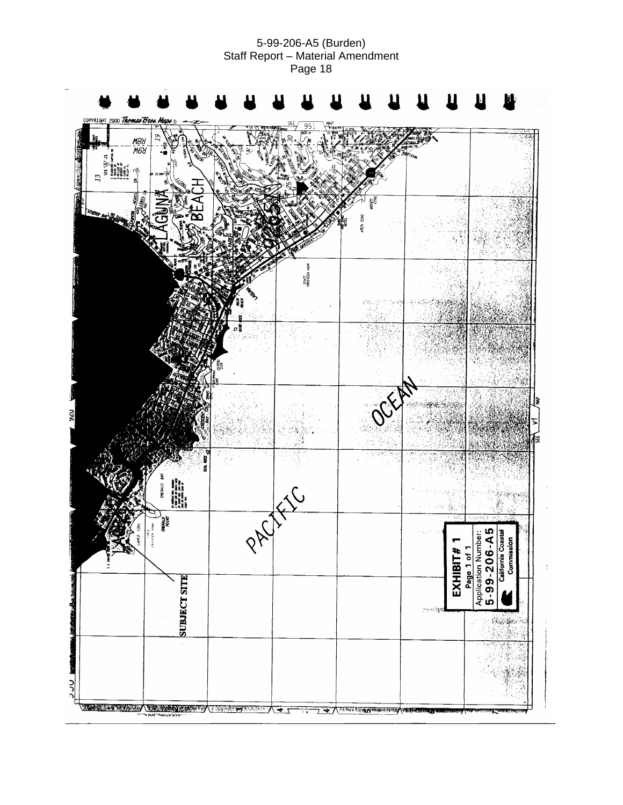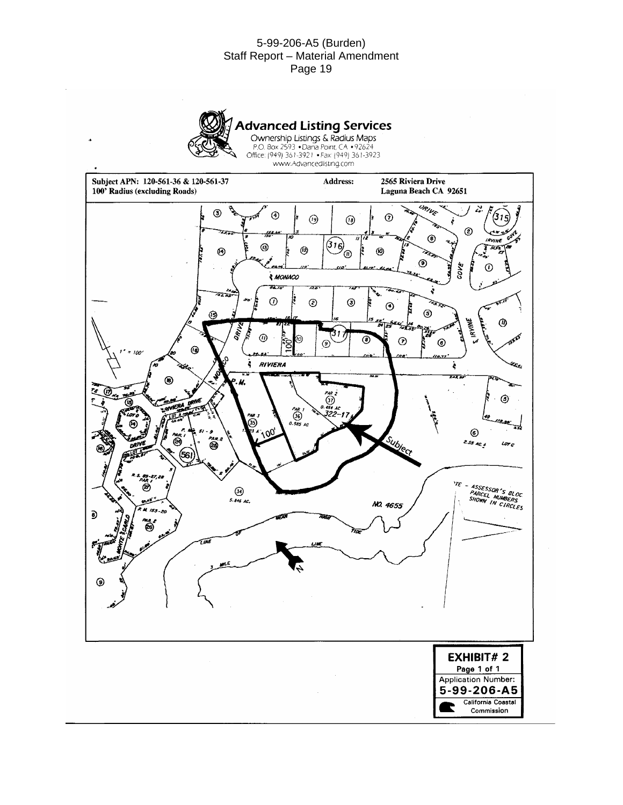

**Advanced Listing Services**<br>
Ownership Listings & Radius Maps<br>
P.O. Box 2593 • Dana Point, CA • 92624<br>
Office: (949) 361-3921 • Fax: (949) 361-3923<br>
www.Advancedlisting.com

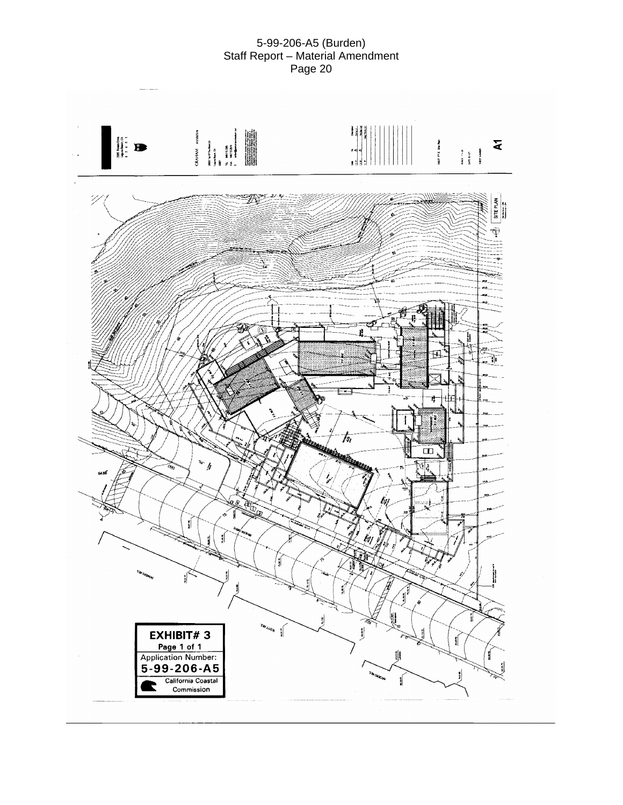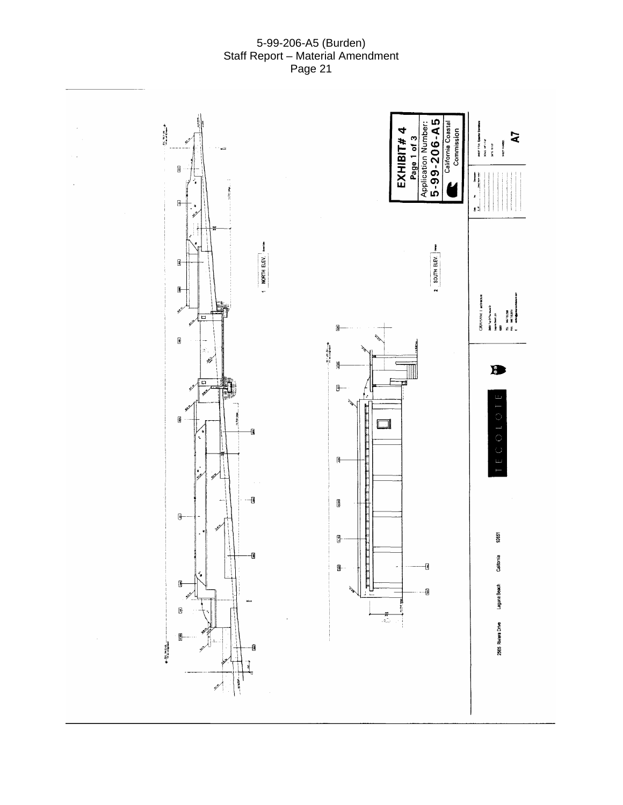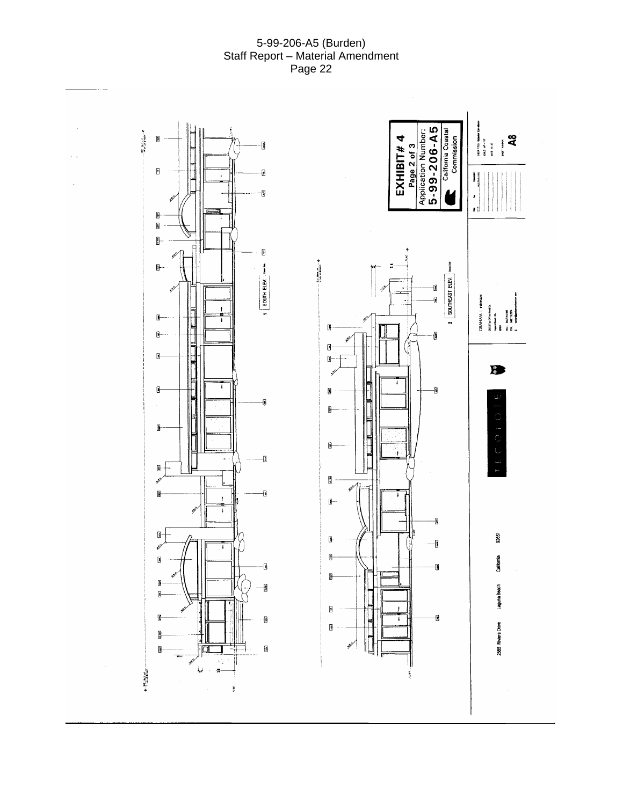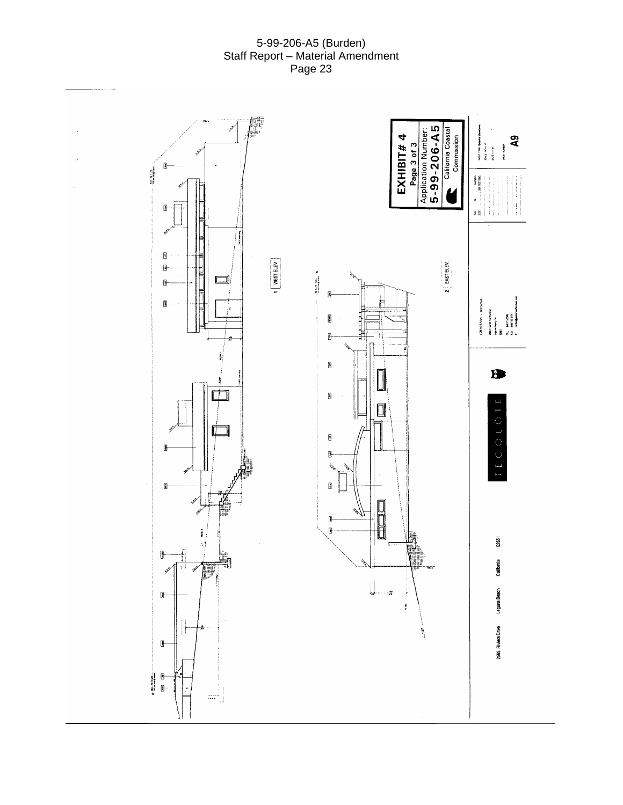